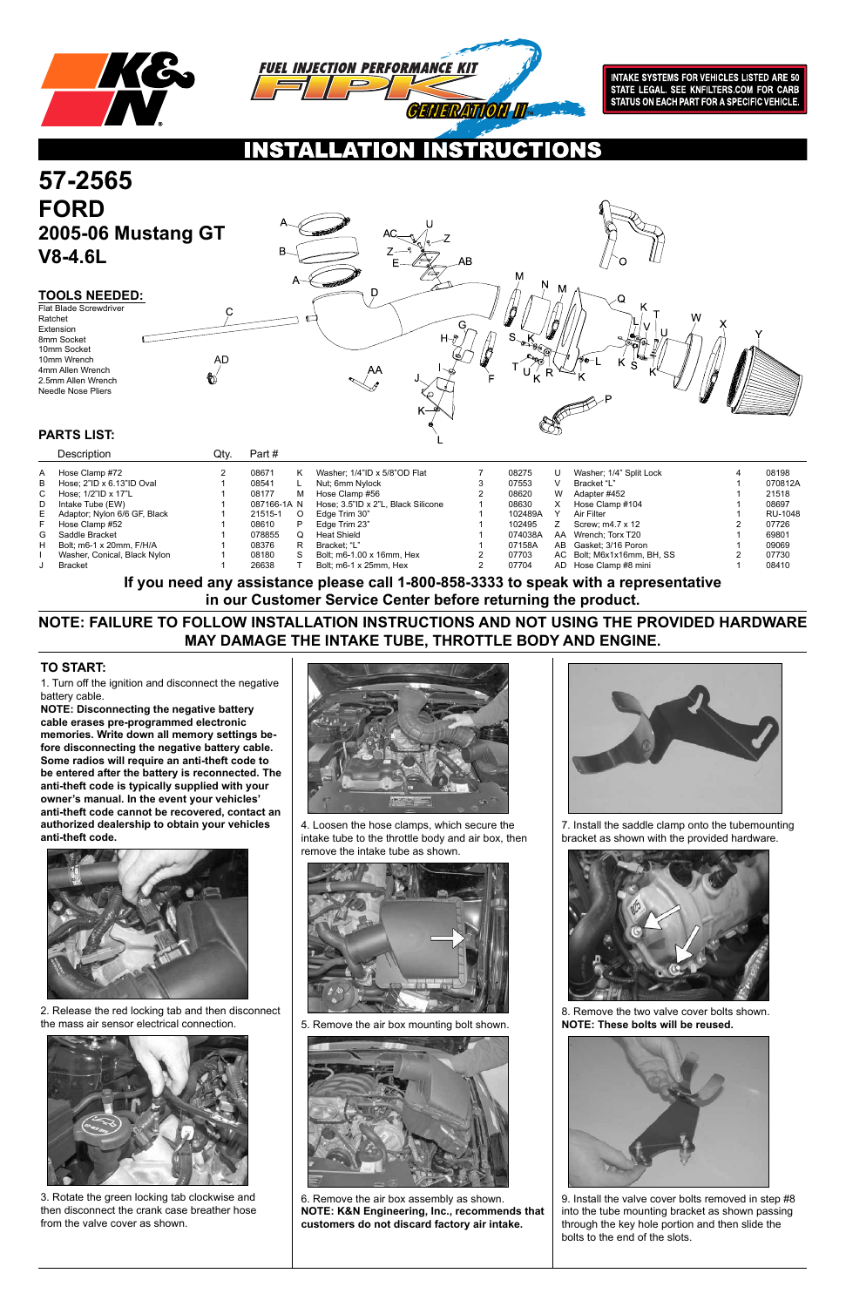1. Turn off the ignition and disconnect the negative battery cable.

**NOTE: Disconnecting the negative battery cable erases pre-programmed electronic memories. Write down all memory settings before disconnecting the negative battery cable. Some radios will require an anti-theft code to be entered after the battery is reconnected. The anti-theft code is typically supplied with your owner's manual. In the event your vehicles' anti-theft code cannot be recovered, contact an authorized dealership to obtain your vehicles anti-theft code.**





### **TO START:**

2. Release the red locking tab and then disconnect the mass air sensor electrical connection.



3. Rotate the green locking tab clockwise and then disconnect the crank case breather hose from the valve cover as shown.



4. Loosen the hose clamps, which secure the intake tube to the throttle body and air box, then remove the intake tube as shown.





5. Remove the air box mounting bolt shown.



6. Remove the air box assembly as shown. **NOTE: K&N Engineering, Inc., recommends that customers do not discard factory air intake.**

7. Install the saddle clamp onto the tubemounting bracket as shown with the provided hardware.



8. Remove the two valve cover bolts shown. **NOTE: These bolts will be reused.**



9. Install the valve cover bolts removed in step #8 into the tube mounting bracket as shown passing through the key hole portion and then slide the bolts to the end of the slots.

**NOTE: FAILURE TO FOLLOW INSTALLATION INSTRUCTIONS AND NOT USING THE PROVIDED HARDWARE MAY DAMAGE THE INTAKE TUBE, THROTTLE BODY AND ENGINE.**

**If you need any assistance please call 1-800-858-3333 to speak with a representative in our Customer Service Center before returning the product.**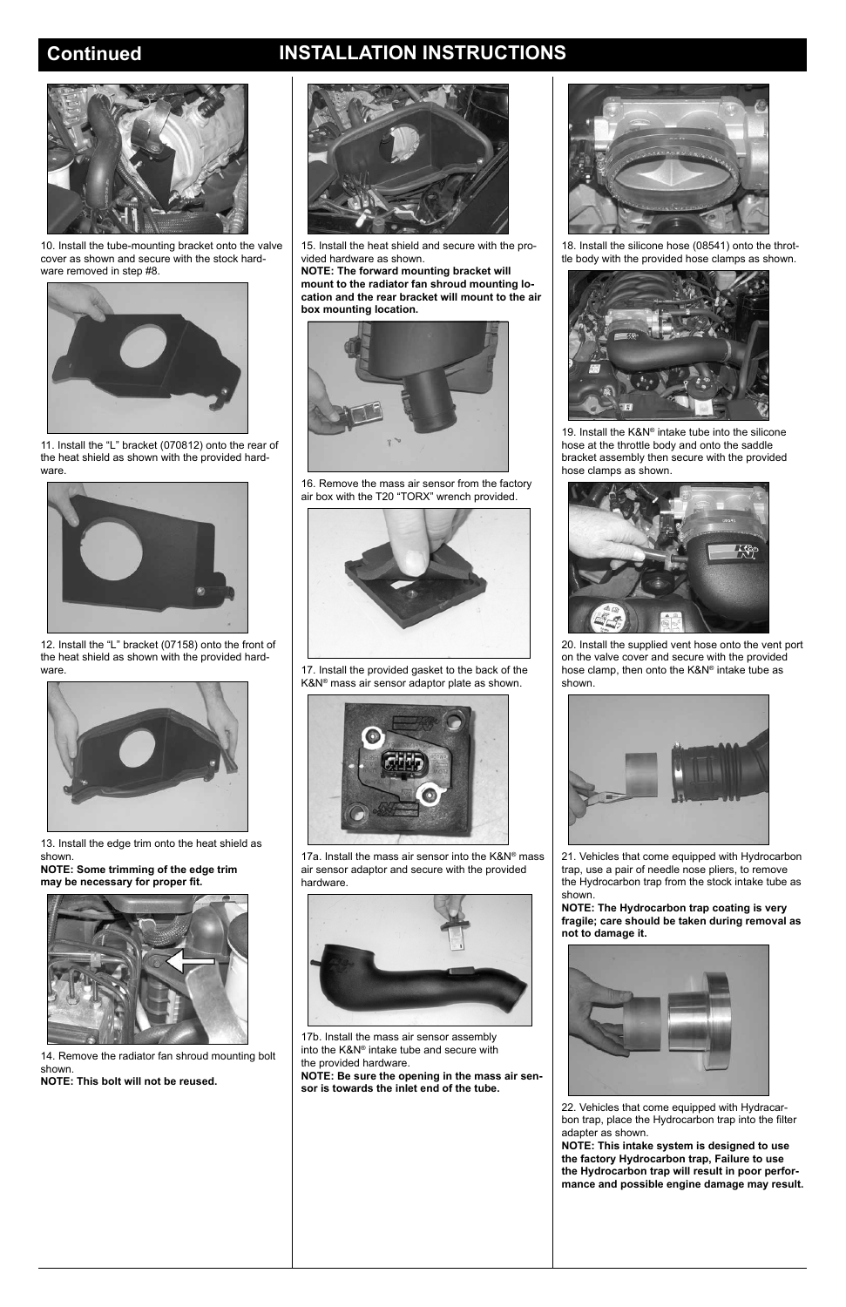## **Continued INSTALLATION INSTRUCTIONS**



10. Install the tube-mounting bracket onto the valve cover as shown and secure with the stock hardware removed in step #8.



11. Install the "L" bracket (070812) onto the rear of the heat shield as shown with the provided hardware.



12. Install the "L" bracket (07158) onto the front of the heat shield as shown with the provided hardware.



13. Install the edge trim onto the heat shield as shown.

**NOTE: Some trimming of the edge trim may be necessary for proper fit.**



14. Remove the radiator fan shroud mounting bolt shown. **NOTE: This bolt will not be reused.**



15. Install the heat shield and secure with the provided hardware as shown.

**NOTE: The forward mounting bracket will mount to the radiator fan shroud mounting location and the rear bracket will mount to the air box mounting location.**



16. Remove the mass air sensor from the factory air box with the T20 "TORX" wrench provided.



17. Install the provided gasket to the back of the K&N® mass air sensor adaptor plate as shown.



17a. Install the mass air sensor into the K&N® mass air sensor adaptor and secure with the provided hardware.



17b. Install the mass air sensor assembly into the K&N® intake tube and secure with the provided hardware.

**NOTE: Be sure the opening in the mass air sensor is towards the inlet end of the tube.**





18. Install the silicone hose (08541) onto the throttle body with the provided hose clamps as shown.



19. Install the K&N® intake tube into the silicone hose at the throttle body and onto the saddle bracket assembly then secure with the provided hose clamps as shown.



20. Install the supplied vent hose onto the vent port on the valve cover and secure with the provided hose clamp, then onto the K&N® intake tube as shown.



21. Vehicles that come equipped with Hydrocarbon trap, use a pair of needle nose pliers, to remove the Hydrocarbon trap from the stock intake tube as shown.

**NOTE: The Hydrocarbon trap coating is very fragile; care should be taken during removal as not to damage it.**

22. Vehicles that come equipped with Hydracarbon trap, place the Hydrocarbon trap into the filter adapter as shown.

**NOTE: This intake system is designed to use the factory Hydrocarbon trap, Failure to use the Hydrocarbon trap will result in poor performance and possible engine damage may result.**